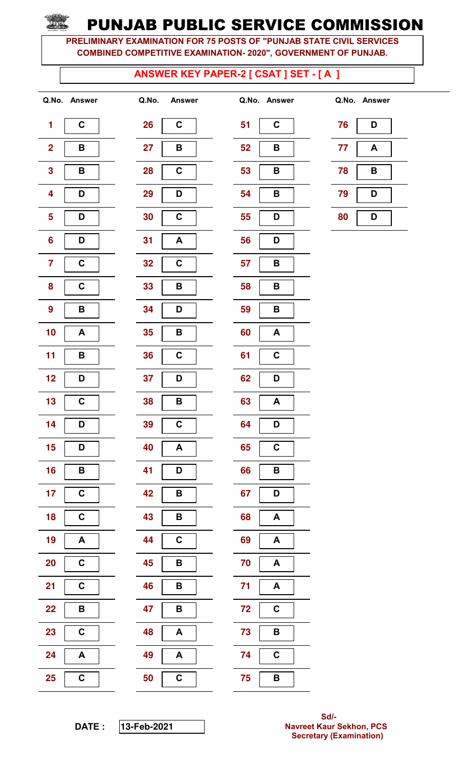PRELIMINARY EXAMINATION FOR 75 POSTS OF "PUNJAB STATE CIVIL SERVICES COMBINED COMPETITIVE EXAMINATION- 2020", GOVERNMENT OF PUNJAB.

### ANSWER KEY PAPER-2 [ CSAT ] SET - [ A ]

| 1                       | C                       |
|-------------------------|-------------------------|
| $\overline{\mathbf{c}}$ | B                       |
| 3                       | B                       |
| 4                       | D                       |
| 5                       | Ŋ                       |
| 6                       | D                       |
| 7                       | C                       |
| 8                       | C                       |
| 9                       | B                       |
| 10                      | A                       |
| 11                      | В                       |
| 12                      | D                       |
| 13                      | C                       |
| 14                      | Ŋ                       |
| 15                      | ı<br>D                  |
| 16                      | B                       |
| 17                      | C                       |
| 18                      | C                       |
| 19                      | A                       |
| <b>20</b>               | $\overline{\mathbf{c}}$ |
| 21                      | C                       |
| <u>22</u>               | B                       |
| 23                      | $\overline{\mathbf{c}}$ |
| 24                      | A                       |
| 25                      | $\overline{\mathbf{c}}$ |

| Q.No. | <b>Answer</b>  |
|-------|----------------|
| 26    | C              |
| 27    | B              |
| 28    | С              |
| 29    | D              |
| 30    | C              |
| 31    | A              |
| 32    | C              |
| 33    | B              |
| 34    | D              |
| 35    | В              |
| 36    | $\overline{c}$ |
| 37    | D              |
| 38    | B              |
| 39    | C              |
| 40    | A              |
| 41    | D              |
| 42    | В              |
| 43    | B              |
| 44    | C              |
| 45    | B              |
| 46    | В              |
| 47    | В              |
| 48    | A              |
| 49    | Α              |
| 50    | C              |

|                         | Q.No. Answer | Q.No.<br><b>Answer</b> | Q.No. Answer      |    | Q.No. Answer |
|-------------------------|--------------|------------------------|-------------------|----|--------------|
| $\mathbf{1}$            | $\mathbf C$  | 26<br>$\mathbf C$      | 51<br>$\mathbf C$ | 76 | D            |
| $\overline{\mathbf{2}}$ | В            | 27<br>B                | 52<br>B           | 77 | A            |
| $\overline{\mathbf{3}}$ | В            | $\mathbf C$<br>28      | 53<br>B           | 78 | В            |
| $\overline{\mathbf{4}}$ | D            | 29<br>D                | 54<br>B           | 79 | D            |
| $\overline{\mathbf{5}}$ | D            | $\mathbf C$<br>30      | 55<br>D           | 80 | D            |
| $6\phantom{a}$          | D            | 31<br>A                | 56<br>D           |    |              |
| $\overline{7}$          | C            | $\mathbf C$<br>32      | 57<br>B           |    |              |
| 8                       | $\mathbf C$  | 33<br>B                | 58<br>B           |    |              |
| 9                       | B            | 34<br>D                | 59<br>B           |    |              |
| 10                      | A            | 35<br>B                | 60<br>A           |    |              |
| 11                      | B            | $\mathbf C$<br>36      | $\mathbf C$<br>61 |    |              |
| 12                      | D            | 37<br>D                | 62<br>D           |    |              |
| 13                      | $\mathbf C$  | 38<br>B                | 63<br>A           |    |              |
| 14                      | D            | 39<br>$\mathbf C$      | 64<br>D           |    |              |
| 15                      | D            | 40<br>$\mathsf{A}$     | 65<br>$\mathbf C$ |    |              |
| 16                      | B            | 41<br>D                | 66<br>B           |    |              |
| 17                      | $\mathbf C$  | 42<br>B                | 67<br>D           |    |              |
| 18                      | $\mathbf C$  | 43<br>$\mathbf B$      | 68<br>A           |    |              |
| 19                      | A            | 44<br>$\mathbf C$      | 69<br>A           |    |              |
| 20                      | $\mathbf C$  | 45<br>B                | 70<br>A           |    |              |
| 21                      | $\mathbf C$  | 46<br>B                | 71<br>A           |    |              |
| 22                      | B            | 47<br>B                | 72<br>$\mathbf C$ |    |              |
| 23                      | $\mathbf C$  | 48<br>A                | 73<br>B           |    |              |
| 24                      | A            | 49<br>A                | $\mathbf C$<br>74 |    |              |
| <b>25</b>               | $\mathbf C$  | $\mathbf C$<br>50      | 75<br>B           |    |              |

| 76 | D |  |  |  |
|----|---|--|--|--|
| 77 | А |  |  |  |
| 78 | B |  |  |  |
| 79 | D |  |  |  |
| 80 | D |  |  |  |

DATE : **13-**Feb**-2021**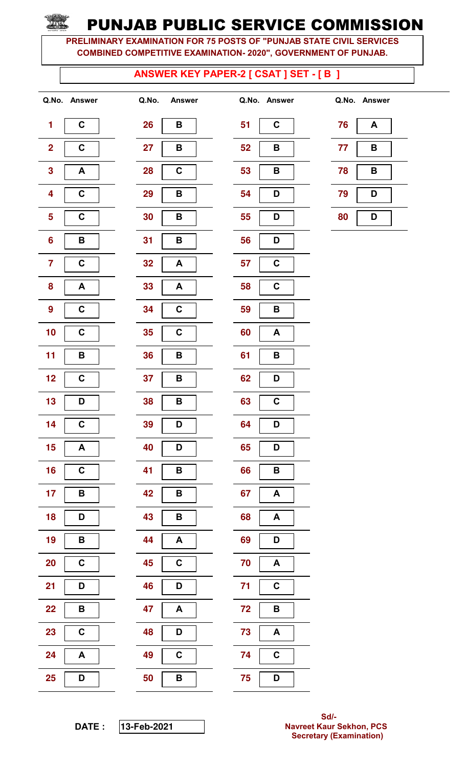PRELIMINARY EXAMINATION FOR 75 POSTS OF "PUNJAB STATE CIVIL SERVICES COMBINED COMPETITIVE EXAMINATION- 2020", GOVERNMENT OF PUNJAB.

#### ANSWER KEY PAPER-2 [ CSAT ] SET - [ B ]

| 1                       | C           |
|-------------------------|-------------|
| $\overline{\mathbf{c}}$ | $\mathbf C$ |
| 3                       | A           |
| 4                       | C           |
| 5                       | C           |
| 6                       | B           |
| 7                       | C           |
| 8                       | A           |
| 9                       | $\mathbf C$ |
| 10                      | C           |
| 11                      | B           |
| 12                      | C           |
| 13                      | D           |
| 14                      | C           |
| 15                      | A           |
| 16                      | C           |
| 17                      | B           |
| 18                      | D           |
| 19                      | B           |
| 20                      | C           |
| 21                      | D           |
| <u>22</u>               | B           |
| 23                      | C           |
| 24                      | A           |
| 25                      | D           |

|                         | Q.No. Answer | Q.No.     | <b>Answer</b>    |    | Q.No. Answer     |    | Q.No. Answer |
|-------------------------|--------------|-----------|------------------|----|------------------|----|--------------|
| 1                       | $\mathbf C$  | <b>26</b> | B                | 51 | $\mathbf C$      | 76 | A            |
| $\overline{\mathbf{2}}$ | $\mathbf C$  | 27        | В                | 52 | B                | 77 | B            |
| $\mathbf{3}$            | A            | 28        | $\mathbf C$      | 53 | B                | 78 | B            |
| $\overline{\mathbf{4}}$ | $\mathbf C$  | 29        | В                | 54 | D                | 79 | D            |
| $\overline{\mathbf{5}}$ | C            | 30        | В                | 55 | D                | 80 | D            |
| $6\phantom{a}$          | B            | 31        | В                | 56 | D                |    |              |
| $\overline{7}$          | $\mathbf C$  | 32        | A                | 57 | $\mathbf C$      |    |              |
| 8                       | A            | 33        | A                | 58 | $\mathbf C$      |    |              |
| 9                       | $\mathbf C$  | 34        | $\mathbf C$      | 59 | B                |    |              |
| 10                      | $\mathbf C$  | 35        | $\mathbf C$      | 60 | A                |    |              |
| 11                      | B            | 36        | B                | 61 | B                |    |              |
| 12                      | $\mathbf C$  | 37        | В                | 62 | D                |    |              |
| 13                      | D            | 38        | B                | 63 | $\mathbf C$      |    |              |
| 14                      | $\mathbf C$  | 39        | D                | 64 | D                |    |              |
| 15                      | A            | 40        | D                | 65 | D                |    |              |
| 16                      | $\mathbf C$  | 41        | $\, {\bf B}$     | 66 | $\, {\bf B}$     |    |              |
| 17                      | B            | 42        | В                | 67 | A                |    |              |
| 18                      | D            | 43        | B                | 68 | $\blacktriangle$ |    |              |
| 19                      | B            | 44        | $\blacktriangle$ | 69 | D                |    |              |
| <b>20</b>               | $\mathbf C$  | 45        | $\mathbf C$      | 70 | A                |    |              |
| 21                      | D            | 46        | D                | 71 | $\mathbf C$      |    |              |
| 22                      | B            | 47        | A                | 72 | B                |    |              |
| 23                      | $\mathbf C$  | 48        | D                | 73 | A                |    |              |
| 24                      | A            | 49        | $\mathbf C$      | 74 | $\mathbf C$      |    |              |
| <b>25</b>               | D            | 50        | B                | 75 | D                |    |              |

| Q.NO. | Answer |  |
|-------|--------|--|
| 51    | C      |  |
| 52    | B      |  |
| 53    | В      |  |
| 54    | D      |  |
| 55    | D      |  |
| 56    | D      |  |
| 57    | C      |  |
| 58    | C      |  |
| 59    | В      |  |
| 60    | A      |  |
| 61    | B      |  |
| 62    | D      |  |
| 63    | C      |  |
| 64    | D      |  |
| 65    | D      |  |
| 66    | В      |  |
| 67    | A      |  |
| 68    | Α      |  |
| 69    | D      |  |
| 70    | Α      |  |
| 71    | C      |  |
| 72    | B      |  |
| 73    | A      |  |
| 74    | C      |  |
| 75    | D      |  |

| 76 | A |  |
|----|---|--|
| 77 | В |  |
| 78 | B |  |
| 79 | D |  |
| 80 | D |  |

DATE : **13-**Feb**-2021**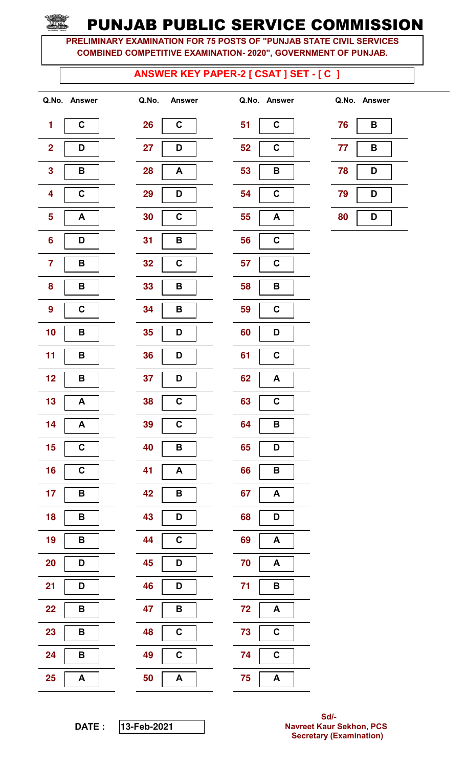PRELIMINARY EXAMINATION FOR 75 POSTS OF "PUNJAB STATE CIVIL SERVICES COMBINED COMPETITIVE EXAMINATION- 2020", GOVERNMENT OF PUNJAB.

#### ANSWER KEY PAPER-2 [ CSAT ] SET - [ C ]

| 1                       | C         |
|-------------------------|-----------|
| $\overline{\mathbf{c}}$ | D         |
| 3                       | В         |
| 4                       | C         |
| 5                       | A         |
| 6                       | D         |
| 7                       | В         |
| 8                       | B         |
| 9                       | C         |
| 10                      | B         |
| 11                      | B         |
| 12                      | В         |
| 13                      | Α         |
| 14                      | A         |
| 15                      | C         |
| 16                      | $\bar{c}$ |
| 17                      | B         |
| 18                      | B         |
| 19                      | B         |
| 20                      | D         |
| 21                      | D         |
| <u>22</u>               | В         |
| 23                      | В         |
| 24                      | В         |
|                         |           |

|                         | Q.No. Answer | Q.No.<br><b>Answer</b> | Q.No. Answer                    |    | Q.No. Answer |
|-------------------------|--------------|------------------------|---------------------------------|----|--------------|
| $\mathbf{1}$            | $\mathbf C$  | 26<br>$\mathbf C$      | 51<br>$\mathbf C$               | 76 | B            |
| $\overline{\mathbf{2}}$ | D            | 27<br>D                | 52<br>$\mathbf C$               | 77 | B            |
| $\mathbf{3}$            | B            | <b>28</b><br>A         | 53<br>B                         | 78 | D            |
| $\overline{\mathbf{4}}$ | $\mathbf C$  | 29<br>D                | 54<br>$\mathbf C$               | 79 | D            |
| $\overline{\mathbf{5}}$ | A            | $\mathbf C$<br>30      | 55<br>A                         | 80 | D            |
| $6\phantom{a}$          | D            | 31<br>B                | 56<br>$\mathbf C$               |    |              |
| $\overline{7}$          | B            | $\mathbf C$<br>32      | 57<br>$\mathbf C$               |    |              |
| 8                       | B            | 33<br>В                | 58<br>B                         |    |              |
| $\boldsymbol{9}$        | $\mathbf C$  | 34<br>В                | 59<br>$\mathbf C$               |    |              |
| 10                      | B            | 35<br>D                | 60<br>D                         |    |              |
| 11                      | B            | 36<br>D                | $\mathbf C$<br>61               |    |              |
| 12                      | B            | 37<br>D                | 62<br>A                         |    |              |
| 13                      | A            | $\mathbf C$<br>38      | 63<br>$\mathbf C$               |    |              |
| 14                      | A            | 39<br>C                | 64<br>B                         |    |              |
| 15                      | $\mathbf C$  | 40<br>B                | 65<br>D                         |    |              |
| 16                      | $\mathbf C$  | 41<br>A                | 66<br>B                         |    |              |
| 17                      | B            | 42<br>B                | 67<br>A                         |    |              |
| 18                      | B            | 43<br>D                | 68<br>D                         |    |              |
| 19                      | B            | 44<br>C                | 69<br>A                         |    |              |
| 20                      | D            | 45<br>D                | 70<br>A                         |    |              |
| 21                      | D            | 46<br>D                | 71<br>B                         |    |              |
| 22                      | B            | 47<br>B                | 72<br>$\boldsymbol{\mathsf{A}}$ |    |              |
| 23                      | B            | $\mathbf C$<br>48      | 73<br>$\mathbf C$               |    |              |
| 24                      | B            | 49<br>$\mathbf C$      | 74<br>$\mathbf C$               |    |              |
| $25\phantom{.0}$        | A            | 50<br>$\boldsymbol{A}$ | 75<br>A                         |    |              |

|    | Q.No. Answer            |  |
|----|-------------------------|--|
| 51 | C                       |  |
| 52 | C                       |  |
| 53 | В                       |  |
| 54 | C                       |  |
| 55 | A                       |  |
| 56 | C                       |  |
| 57 | C                       |  |
| 58 | В                       |  |
| 59 | C                       |  |
| 60 | D                       |  |
| 61 | $\overline{\mathsf{c}}$ |  |
| 62 | A                       |  |
| 63 | C                       |  |
| 64 | В                       |  |
| 65 | D                       |  |
| 66 | B                       |  |
| 67 | A                       |  |
| 68 | D                       |  |
| 69 | Α                       |  |
| 70 | Α                       |  |
| 71 | В                       |  |
| 72 | A                       |  |
| 73 | C                       |  |
| 74 | C                       |  |
| 75 | A                       |  |

| 76 | B |  |
|----|---|--|
| 77 | B |  |
| 78 | D |  |
| 79 | D |  |
| 80 | D |  |

DATE : **13-**Feb**-2021**